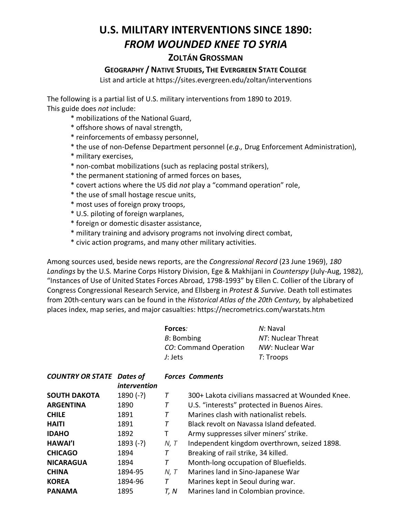## **U.S. MILITARY INTERVENTIONS SINCE 1890:**  *FROM WOUNDED KNEE TO SYRIA*

## **ZOLTÁN GROSSMAN**

## **GEOGRAPHY / NATIVE STUDIES, THE EVERGREEN STATE COLLEGE**

List and article at https://sites.evergreen.edu/zoltan/interventions

The following is a partial list of U.S. military interventions from 1890 to 2019. This guide does *not* include:

- \* mobilizations of the National Guard,
- \* offshore shows of naval strength,
- \* reinforcements of embassy personnel,
- \* the use of non-Defense Department personnel (*e.g.,* Drug Enforcement Administration),
- \* military exercises,
- \* non-combat mobilizations (such as replacing postal strikers),
- \* the permanent stationing of armed forces on bases,
- \* covert actions where the US did *not* play a "command operation" role,
- \* the use of small hostage rescue units,
- \* most uses of foreign proxy troops,
- \* U.S. piloting of foreign warplanes,
- \* foreign or domestic disaster assistance,
- \* military training and advisory programs not involving direct combat,
- \* civic action programs, and many other military activities.

Among sources used, beside news reports, are the *Congressional Record* (23 June 1969), *180 Landings* by the U.S. Marine Corps History Division, Ege & Makhijani in *Counterspy* (July-Aug, 1982), "Instances of Use of United States Forces Abroad, 1798-1993" by Ellen C. Collier of the Library of Congress Congressional Research Service, and Ellsberg in *Protest & Survive*. Death toll estimates from 20th-century wars can be found in the *Historical Atlas of the 20th Century,* by alphabetized places index, map series, and major casualties: https://necrometrics.com/warstats.htm

| Forces:               | N: Naval           |
|-----------------------|--------------------|
| B: Bombing            | NT: Nuclear Threat |
| CO: Command Operation | NW: Nuclear War    |
| J: Jets               | T: Troops          |

| <b>COUNTRY OR STATE</b> | Dates of            |      | <b>Forces Comments</b>                           |
|-------------------------|---------------------|------|--------------------------------------------------|
|                         | <i>intervention</i> |      |                                                  |
| <b>SOUTH DAKOTA</b>     | $1890 (-?)$         |      | 300+ Lakota civilians massacred at Wounded Knee. |
| <b>ARGENTINA</b>        | 1890                |      | U.S. "interests" protected in Buenos Aires.      |
| <b>CHILE</b>            | 1891                |      | Marines clash with nationalist rebels.           |
| <b>HAITI</b>            | 1891                | Т    | Black revolt on Navassa Island defeated.         |
| <b>IDAHO</b>            | 1892                | т    | Army suppresses silver miners' strike.           |
| <b>HAWAI'I</b>          | $1893 (-?)$         | N, T | Independent kingdom overthrown, seized 1898.     |
| <b>CHICAGO</b>          | 1894                | Τ    | Breaking of rail strike, 34 killed.              |
| <b>NICARAGUA</b>        | 1894                | T    | Month-long occupation of Bluefields.             |
| <b>CHINA</b>            | 1894-95             | N, T | Marines land in Sino-Japanese War                |
| <b>KOREA</b>            | 1894-96             | Т    | Marines kept in Seoul during war.                |
| <b>PANAMA</b>           | 1895                | T, N | Marines land in Colombian province.              |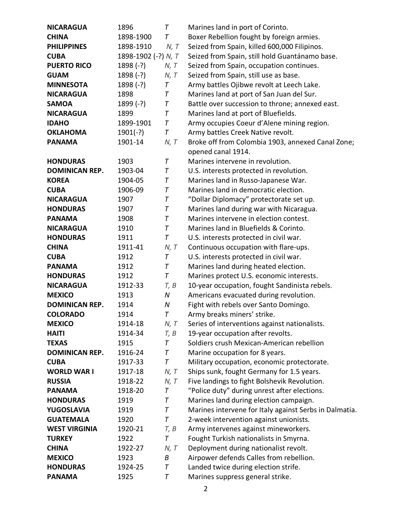| <b>NICARAGUA</b>      | 1896                | $\tau$           | Marines land in port of Corinto.                       |
|-----------------------|---------------------|------------------|--------------------------------------------------------|
| <b>CHINA</b>          | 1898-1900           | $\tau$           | Boxer Rebellion fought by foreign armies.              |
| <b>PHILIPPINES</b>    | 1898-1910           | N, T             | Seized from Spain, killed 600,000 Filipinos.           |
| <b>CUBA</b>           | 1898-1902 (-?) N, T |                  | Seized from Spain, still hold Guantánamo base.         |
| <b>PUERTO RICO</b>    | $1898 (-?)$         | N, T             | Seized from Spain, occupation continues.               |
| <b>GUAM</b>           | $1898 (-?)$         | N, T             | Seized from Spain, still use as base.                  |
| <b>MINNESOTA</b>      | $1898 (-?)$         | T                | Army battles Ojibwe revolt at Leech Lake.              |
| <b>NICARAGUA</b>      | 1898                | T                | Marines land at port of San Juan del Sur.              |
| <b>SAMOA</b>          | $1899 (-?)$         | Τ                | Battle over succession to throne; annexed east.        |
| <b>NICARAGUA</b>      | 1899                | T                | Marines land at port of Bluefields.                    |
| <b>IDAHO</b>          | 1899-1901           | T                | Army occupies Coeur d'Alene mining region.             |
| <b>OKLAHOMA</b>       | $1901(-?)$          | T                | Army battles Creek Native revolt.                      |
| <b>PANAMA</b>         | 1901-14             | N, T             | Broke off from Colombia 1903, annexed Canal Zone;      |
|                       |                     |                  | opened canal 1914.                                     |
| <b>HONDURAS</b>       | 1903                | Τ                | Marines intervene in revolution.                       |
| <b>DOMINICAN REP.</b> | 1903-04             | T                | U.S. interests protected in revolution.                |
| <b>KOREA</b>          | 1904-05             | Τ                | Marines land in Russo-Japanese War.                    |
| <b>CUBA</b>           | 1906-09             | T                | Marines land in democratic election.                   |
| <b>NICARAGUA</b>      | 1907                | Τ                | "Dollar Diplomacy" protectorate set up.                |
| <b>HONDURAS</b>       | 1907                | Τ                | Marines land during war with Nicaragua.                |
| <b>PANAMA</b>         | 1908                | T                | Marines intervene in election contest.                 |
| <b>NICARAGUA</b>      | 1910                | T                | Marines land in Bluefields & Corinto.                  |
| <b>HONDURAS</b>       | 1911                | T                | U.S. interests protected in civil war.                 |
| <b>CHINA</b>          | 1911-41             | N, T             | Continuous occupation with flare-ups.                  |
| <b>CUBA</b>           | 1912                | Τ                | U.S. interests protected in civil war.                 |
| <b>PANAMA</b>         | 1912                | T                | Marines land during heated election.                   |
| <b>HONDURAS</b>       | 1912                | T                | Marines protect U.S. economic interests.               |
| <b>NICARAGUA</b>      | 1912-33             | T, B             | 10-year occupation, fought Sandinista rebels.          |
| <b>MEXICO</b>         | 1913                | ${\cal N}$       | Americans evacuated during revolution.                 |
| <b>DOMINICAN REP.</b> | 1914                | $\boldsymbol{N}$ | Fight with rebels over Santo Domingo.                  |
| <b>COLORADO</b>       | 1914                | $\tau$           | Army breaks miners' strike.                            |
| <b>MEXICO</b>         | 1914-18             | N, T             | Series of interventions against nationalists.          |
| <b>HAITI</b>          | 1914-34             | T, B             | 19-year occupation after revolts.                      |
| <b>TEXAS</b>          | 1915                | $\tau$           | Soldiers crush Mexican-American rebellion              |
| <b>DOMINICAN REP.</b> | 1916-24             | T                | Marine occupation for 8 years.                         |
| <b>CUBA</b>           | 1917-33             | Τ                | Military occupation, economic protectorate.            |
| <b>WORLD WAR I</b>    | 1917-18             | N, T             | Ships sunk, fought Germany for 1.5 years.              |
| <b>RUSSIA</b>         | 1918-22             | N, T             | Five landings to fight Bolshevik Revolution.           |
| <b>PANAMA</b>         | 1918-20             | T                | "Police duty" during unrest after elections.           |
| <b>HONDURAS</b>       | 1919                | T                | Marines land during election campaign.                 |
| <b>YUGOSLAVIA</b>     | 1919                | Τ                | Marines intervene for Italy against Serbs in Dalmatia. |
| <b>GUATEMALA</b>      | 1920                | Τ                | 2-week intervention against unionists.                 |
| <b>WEST VIRGINIA</b>  | 1920-21             | T, B             | Army intervenes against mineworkers.                   |
| <b>TURKEY</b>         | 1922                | T                | Fought Turkish nationalists in Smyrna.                 |
| <b>CHINA</b>          | 1922-27             | N, T             | Deployment during nationalist revolt.                  |
| <b>MEXICO</b>         | 1923                | Β                | Airpower defends Calles from rebellion.                |
| <b>HONDURAS</b>       | 1924-25             | T                | Landed twice during election strife.                   |
| <b>PANAMA</b>         | 1925                | T                | Marines suppress general strike.                       |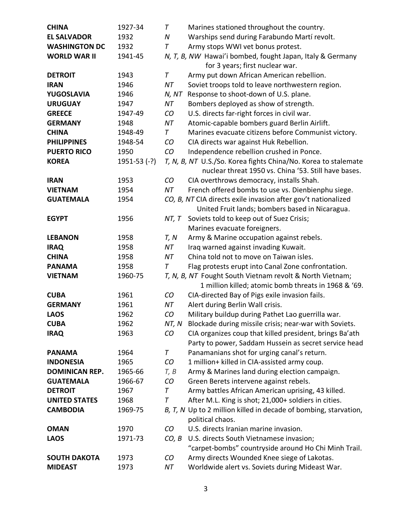| <b>CHINA</b>          | 1927-34        | T      | Marines stationed throughout the country.                                                                              |
|-----------------------|----------------|--------|------------------------------------------------------------------------------------------------------------------------|
| <b>EL SALVADOR</b>    | 1932           | N      | Warships send during Farabundo Martí revolt.                                                                           |
| <b>WASHINGTON DC</b>  | 1932           | T      | Army stops WWI vet bonus protest.                                                                                      |
| <b>WORLD WAR II</b>   | 1941-45        |        | N, T, B, NW Hawai'i bombed, fought Japan, Italy & Germany<br>for 3 years; first nuclear war.                           |
| <b>DETROIT</b>        | 1943           | T      | Army put down African American rebellion.                                                                              |
| <b>IRAN</b>           | 1946           | NT     | Soviet troops told to leave northwestern region.                                                                       |
| YUGOSLAVIA            | 1946           | N, NT  | Response to shoot-down of U.S. plane.                                                                                  |
| <b>URUGUAY</b>        | 1947           | NT     | Bombers deployed as show of strength.                                                                                  |
| <b>GREECE</b>         | 1947-49        | CO     | U.S. directs far-right forces in civil war.                                                                            |
| <b>GERMANY</b>        | 1948           | NT     | Atomic-capable bombers guard Berlin Airlift.                                                                           |
| <b>CHINA</b>          | 1948-49        | $\tau$ | Marines evacuate citizens before Communist victory.                                                                    |
| <b>PHILIPPINES</b>    | 1948-54        | CO     | CIA directs war against Huk Rebellion.                                                                                 |
| <b>PUERTO RICO</b>    | 1950           | CO     | Independence rebellion crushed in Ponce.                                                                               |
| <b>KOREA</b>          | $1951-53$ (-?) |        | T, N, B, NT U.S./So. Korea fights China/No. Korea to stalemate<br>nuclear threat 1950 vs. China '53. Still have bases. |
| <b>IRAN</b>           | 1953           | CO     | CIA overthrows democracy, installs Shah.                                                                               |
| <b>VIETNAM</b>        | 1954           | NT     | French offered bombs to use vs. Dienbienphu siege.                                                                     |
| <b>GUATEMALA</b>      | 1954           |        | CO, B, NT CIA directs exile invasion after gov't nationalized                                                          |
| <b>EGYPT</b>          | 1956           | NT, T  | United Fruit lands; bombers based in Nicaragua.<br>Soviets told to keep out of Suez Crisis;                            |
|                       |                |        | Marines evacuate foreigners.                                                                                           |
| <b>LEBANON</b>        | 1958           | T, N   | Army & Marine occupation against rebels.                                                                               |
| <b>IRAQ</b>           | 1958           | NT     | Iraq warned against invading Kuwait.                                                                                   |
| <b>CHINA</b>          | 1958           | NT     | China told not to move on Taiwan isles.                                                                                |
| <b>PANAMA</b>         | 1958           | T      | Flag protests erupt into Canal Zone confrontation.                                                                     |
| <b>VIETNAM</b>        | 1960-75        |        | T, N, B, NT Fought South Vietnam revolt & North Vietnam;<br>1 million killed; atomic bomb threats in 1968 & '69.       |
| <b>CUBA</b>           | 1961           | CO     | CIA-directed Bay of Pigs exile invasion fails.                                                                         |
| <b>GERMANY</b>        | 1961           | NT     | Alert during Berlin Wall crisis.                                                                                       |
| <b>LAOS</b>           | 1962           | CO     | Military buildup during Pathet Lao guerrilla war.                                                                      |
| <b>CUBA</b>           | 1962           | NT, N  | Blockade during missile crisis; near-war with Soviets.                                                                 |
| <b>IRAQ</b>           | 1963           | CO     | CIA organizes coup that killed president, brings Ba'ath<br>Party to power, Saddam Hussein as secret service head       |
| <b>PANAMA</b>         | 1964           | T      | Panamanians shot for urging canal's return.                                                                            |
| <b>INDONESIA</b>      | 1965           | CO     | 1 million+ killed in CIA-assisted army coup.                                                                           |
| <b>DOMINICAN REP.</b> | 1965-66        | T, B   | Army & Marines land during election campaign.                                                                          |
| <b>GUATEMALA</b>      | 1966-67        | CO     | Green Berets intervene against rebels.                                                                                 |
| <b>DETROIT</b>        | 1967           | Τ      | Army battles African American uprising, 43 killed.                                                                     |
| <b>UNITED STATES</b>  | 1968           | T      | After M.L. King is shot; 21,000+ soldiers in cities.                                                                   |
| <b>CAMBODIA</b>       | 1969-75        |        | B, T, N Up to 2 million killed in decade of bombing, starvation,<br>political chaos.                                   |
| <b>OMAN</b>           | 1970           | CO     | U.S. directs Iranian marine invasion.                                                                                  |
| <b>LAOS</b>           | 1971-73        | CO, B  | U.S. directs South Vietnamese invasion;<br>"carpet-bombs" countryside around Ho Chi Minh Trail.                        |
| <b>SOUTH DAKOTA</b>   | 1973           | CO     | Army directs Wounded Knee siege of Lakotas.                                                                            |
| <b>MIDEAST</b>        | 1973           | ΝT     | Worldwide alert vs. Soviets during Mideast War.                                                                        |
|                       |                |        |                                                                                                                        |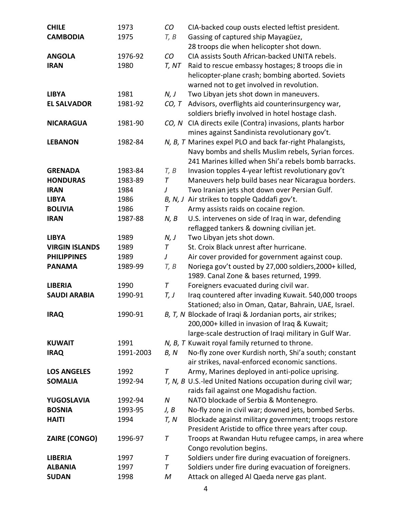| <b>CHILE</b>          | 1973      | CO    | CIA-backed coup ousts elected leftist president.             |
|-----------------------|-----------|-------|--------------------------------------------------------------|
| <b>CAMBODIA</b>       | 1975      | T, B  | Gassing of captured ship Mayagüez,                           |
|                       |           |       | 28 troops die when helicopter shot down.                     |
| <b>ANGOLA</b>         | 1976-92   | CO    | CIA assists South African-backed UNITA rebels.               |
| <b>IRAN</b>           | 1980      | T, NT | Raid to rescue embassy hostages; 8 troops die in             |
|                       |           |       | helicopter-plane crash; bombing aborted. Soviets             |
|                       |           |       | warned not to get involved in revolution.                    |
| <b>LIBYA</b>          | 1981      | N, J  | Two Libyan jets shot down in maneuvers.                      |
| <b>EL SALVADOR</b>    | 1981-92   |       | CO, T Advisors, overflights aid counterinsurgency war,       |
|                       |           |       | soldiers briefly involved in hotel hostage clash.            |
| <b>NICARAGUA</b>      | 1981-90   |       | CO, N CIA directs exile (Contra) invasions, plants harbor    |
|                       |           |       | mines against Sandinista revolutionary gov't.                |
| <b>LEBANON</b>        | 1982-84   |       | N, B, T Marines expel PLO and back far-right Phalangists,    |
|                       |           |       | Navy bombs and shells Muslim rebels, Syrian forces.          |
|                       |           |       | 241 Marines killed when Shi'a rebels bomb barracks.          |
| <b>GRENADA</b>        | 1983-84   | T, B  | Invasion topples 4-year leftist revolutionary gov't          |
| <b>HONDURAS</b>       | 1983-89   | Τ     | Maneuvers help build bases near Nicaragua borders.           |
| <b>IRAN</b>           | 1984      | J     | Two Iranian jets shot down over Persian Gulf.                |
| <b>LIBYA</b>          | 1986      |       | B, N, J Air strikes to topple Qaddafi gov't.                 |
| <b>BOLIVIA</b>        | 1986      | Τ     | Army assists raids on cocaine region.                        |
| <b>IRAN</b>           | 1987-88   | N, B  | U.S. intervenes on side of Iraq in war, defending            |
|                       |           |       | reflagged tankers & downing civilian jet.                    |
| <b>LIBYA</b>          | 1989      | N, J  | Two Libyan jets shot down.                                   |
| <b>VIRGIN ISLANDS</b> | 1989      | Τ     | St. Croix Black unrest after hurricane.                      |
| <b>PHILIPPINES</b>    | 1989      | J     | Air cover provided for government against coup.              |
| <b>PANAMA</b>         | 1989-99   | T, B  | Noriega gov't ousted by 27,000 soldiers, 2000+ killed,       |
|                       |           |       | 1989. Canal Zone & bases returned, 1999.                     |
| <b>LIBERIA</b>        | 1990      | T     | Foreigners evacuated during civil war.                       |
| <b>SAUDI ARABIA</b>   | 1990-91   | T, J  | Iraq countered after invading Kuwait. 540,000 troops         |
|                       |           |       | Stationed; also in Oman, Qatar, Bahrain, UAE, Israel.        |
| <b>IRAQ</b>           | 1990-91   |       | B, T, N Blockade of Iraqi & Jordanian ports, air strikes;    |
|                       |           |       | 200,000+ killed in invasion of Iraq & Kuwait;                |
|                       |           |       | large-scale destruction of Iraqi military in Gulf War.       |
| <b>KUWAIT</b>         | 1991      |       | N, B, T Kuwait royal family returned to throne.              |
| <b>IRAQ</b>           | 1991-2003 | B, N  | No-fly zone over Kurdish north, Shi'a south; constant        |
|                       |           |       | air strikes, naval-enforced economic sanctions.              |
| <b>LOS ANGELES</b>    | 1992      | Τ     | Army, Marines deployed in anti-police uprising.              |
| <b>SOMALIA</b>        | 1992-94   |       | T, N, B U.S.-led United Nations occupation during civil war; |
|                       |           |       | raids fail against one Mogadishu faction.                    |
| YUGOSLAVIA            | 1992-94   | N     | NATO blockade of Serbia & Montenegro.                        |
| <b>BOSNIA</b>         | 1993-95   | J, B  | No-fly zone in civil war; downed jets, bombed Serbs.         |
| <b>HAITI</b>          | 1994      | T, N  | Blockade against military government; troops restore         |
|                       |           |       | President Aristide to office three years after coup.         |
| <b>ZAIRE (CONGO)</b>  | 1996-97   | Т     | Troops at Rwandan Hutu refugee camps, in area where          |
|                       |           |       | Congo revolution begins.                                     |
| <b>LIBERIA</b>        | 1997      | Τ     | Soldiers under fire during evacuation of foreigners.         |
| <b>ALBANIA</b>        | 1997      | Τ     | Soldiers under fire during evacuation of foreigners.         |
| <b>SUDAN</b>          | 1998      | M     | Attack on alleged Al Qaeda nerve gas plant.                  |